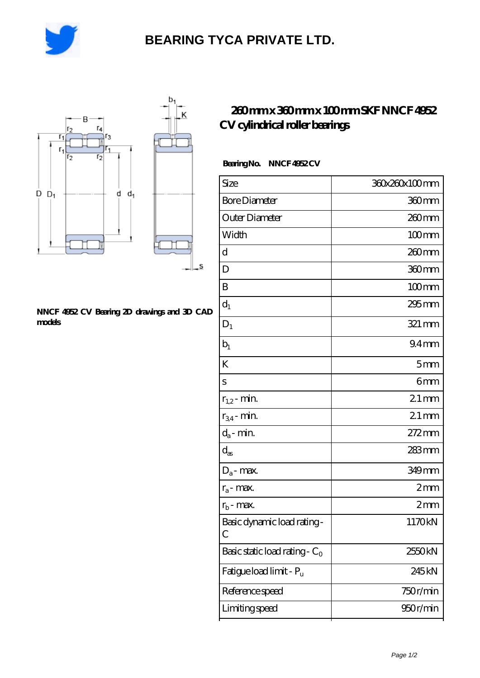

# **[BEARING TYCA PRIVATE LTD.](https://ef-u.cn)**

.s



#### **[NNCF 4952 CV Bearing 2D drawings and 3D CAD](https://ef-u.cn/pic-155838.html) [models](https://ef-u.cn/pic-155838.html)**

## **[260 mm x 360 mm x 100 mm SKF NNCF 4952](https://ef-u.cn/af-155838-skf-nncf-4952-cv-cylindrical-roller-bearings.html) [CV cylindrical roller bearings](https://ef-u.cn/af-155838-skf-nncf-4952-cv-cylindrical-roller-bearings.html)**

### **Bearing No. NNCF 4952 CV**

| Size                                        | 360x260x100mm      |
|---------------------------------------------|--------------------|
| <b>Bore Diameter</b>                        | 360mm              |
| Outer Diameter                              | 260 <sub>mm</sub>  |
| Width                                       | $100$ mm           |
| d                                           | 260 <sub>mm</sub>  |
| D                                           | 360mm              |
| B                                           | $100$ mm           |
| $d_1$                                       | 295 mm             |
| $D_1$                                       | 321 mm             |
| $b_1$                                       | 94 <sub>mm</sub>   |
| K                                           | 5mm                |
| S                                           | 6mm                |
| $r_{1,2}$ - min.                            | $21 \,\mathrm{mm}$ |
| $r_{34}$ - min.                             | $21$ mm            |
| $d_a$ - min.                                | $272 \text{mm}$    |
| $\mathrm{d}_{\mathrm{as}}$                  | 283 mm             |
| $D_a$ - max.                                | 349mm              |
| $r_a$ - max.                                | 2mm                |
| $r_{b}$ - max.                              | 2mm                |
| Basic dynamic load rating-<br>$\mathcal{C}$ | 1170kN             |
| Basic static load rating - $C_0$            | 2550kN             |
| Fatigue load limit - Pu                     | 245 <sub>kN</sub>  |
| Reference speed                             | 750r/min           |
| Limiting speed                              | 950r/min           |